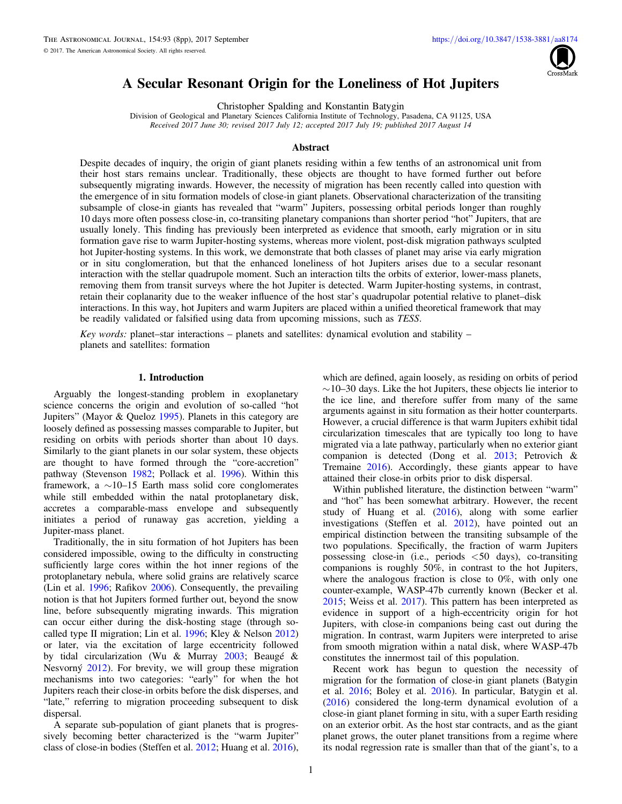

# A Secular Resonant Origin for the Loneliness of Hot Jupiters

Christopher Spalding and Konstantin Batygin

Division of Geological and Planetary Sciences California Institute of Technology, Pasadena, CA 91125, USA Received 2017 June 30; revised 2017 July 12; accepted 2017 July 19; published 2017 August 14

#### Abstract

Despite decades of inquiry, the origin of giant planets residing within a few tenths of an astronomical unit from their host stars remains unclear. Traditionally, these objects are thought to have formed further out before subsequently migrating inwards. However, the necessity of migration has been recently called into question with the emergence of in situ formation models of close-in giant planets. Observational characterization of the transiting subsample of close-in giants has revealed that "warm" Jupiters, possessing orbital periods longer than roughly 10 days more often possess close-in, co-transiting planetary companions than shorter period "hot" Jupiters, that are usually lonely. This finding has previously been interpreted as evidence that smooth, early migration or in situ formation gave rise to warm Jupiter-hosting systems, whereas more violent, post-disk migration pathways sculpted hot Jupiter-hosting systems. In this work, we demonstrate that both classes of planet may arise via early migration or in situ conglomeration, but that the enhanced loneliness of hot Jupiters arises due to a secular resonant interaction with the stellar quadrupole moment. Such an interaction tilts the orbits of exterior, lower-mass planets, removing them from transit surveys where the hot Jupiter is detected. Warm Jupiter-hosting systems, in contrast, retain their coplanarity due to the weaker influence of the host star's quadrupolar potential relative to planet–disk interactions. In this way, hot Jupiters and warm Jupiters are placed within a unified theoretical framework that may be readily validated or falsified using data from upcoming missions, such as TESS.

Key words: planet–star interactions – planets and satellites: dynamical evolution and stability – planets and satellites: formation

#### 1. Introduction

Arguably the longest-standing problem in exoplanetary science concerns the origin and evolution of so-called "hot Jupiters" (Mayor & Queloz [1995](#page-7-0)). Planets in this category are loosely defined as possessing masses comparable to Jupiter, but residing on orbits with periods shorter than about 10 days. Similarly to the giant planets in our solar system, these objects are thought to have formed through the "core-accretion" pathway (Stevenson [1982;](#page-7-0) Pollack et al. [1996](#page-7-0)). Within this framework, a ∼10–15 Earth mass solid core conglomerates while still embedded within the natal protoplanetary disk, accretes a comparable-mass envelope and subsequently initiates a period of runaway gas accretion, yielding a Jupiter-mass planet.

Traditionally, the in situ formation of hot Jupiters has been considered impossible, owing to the difficulty in constructing sufficiently large cores within the hot inner regions of the protoplanetary nebula, where solid grains are relatively scarce (Lin et al. [1996](#page-7-0); Rafikov [2006](#page-7-0)). Consequently, the prevailing notion is that hot Jupiters formed further out, beyond the snow line, before subsequently migrating inwards. This migration can occur either during the disk-hosting stage (through socalled type II migration; Lin et al. [1996;](#page-7-0) Kley & Nelson [2012](#page-7-0)) or later, via the excitation of large eccentricity followed by tidal circularization (Wu & Murray [2003;](#page-7-0) Beaugé & Nesvorný [2012](#page-7-0)). For brevity, we will group these migration mechanisms into two categories: "early" for when the hot Jupiters reach their close-in orbits before the disk disperses, and "late," referring to migration proceeding subsequent to disk dispersal.

A separate sub-population of giant planets that is progressively becoming better characterized is the "warm Jupiter" class of close-in bodies (Steffen et al. [2012;](#page-7-0) Huang et al. [2016](#page-7-0)),

which are defined, again loosely, as residing on orbits of period  $\sim$ 10–30 days. Like the hot Jupiters, these objects lie interior to the ice line, and therefore suffer from many of the same arguments against in situ formation as their hotter counterparts. However, a crucial difference is that warm Jupiters exhibit tidal circularization timescales that are typically too long to have migrated via a late pathway, particularly when no exterior giant companion is detected (Dong et al. [2013](#page-7-0); Petrovich & Tremaine [2016](#page-7-0)). Accordingly, these giants appear to have attained their close-in orbits prior to disk dispersal.

Within published literature, the distinction between "warm" and "hot" has been somewhat arbitrary. However, the recent study of Huang et al. ([2016](#page-7-0)), along with some earlier investigations (Steffen et al. [2012](#page-7-0)), have pointed out an empirical distinction between the transiting subsample of the two populations. Specifically, the fraction of warm Jupiters possessing close-in (i.e., periods  $\lt 50$  days), co-transiting companions is roughly 50%, in contrast to the hot Jupiters, where the analogous fraction is close to 0%, with only one counter-example, WASP-47b currently known (Becker et al. [2015;](#page-7-0) Weiss et al. [2017](#page-7-0)). This pattern has been interpreted as evidence in support of a high-eccentricity origin for hot Jupiters, with close-in companions being cast out during the migration. In contrast, warm Jupiters were interpreted to arise from smooth migration within a natal disk, where WASP-47b constitutes the innermost tail of this population.

Recent work has begun to question the necessity of migration for the formation of close-in giant planets (Batygin et al. [2016](#page-7-0); Boley et al. [2016](#page-7-0)). In particular, Batygin et al. ([2016](#page-7-0)) considered the long-term dynamical evolution of a close-in giant planet forming in situ, with a super Earth residing on an exterior orbit. As the host star contracts, and as the giant planet grows, the outer planet transitions from a regime where its nodal regression rate is smaller than that of the giant's, to a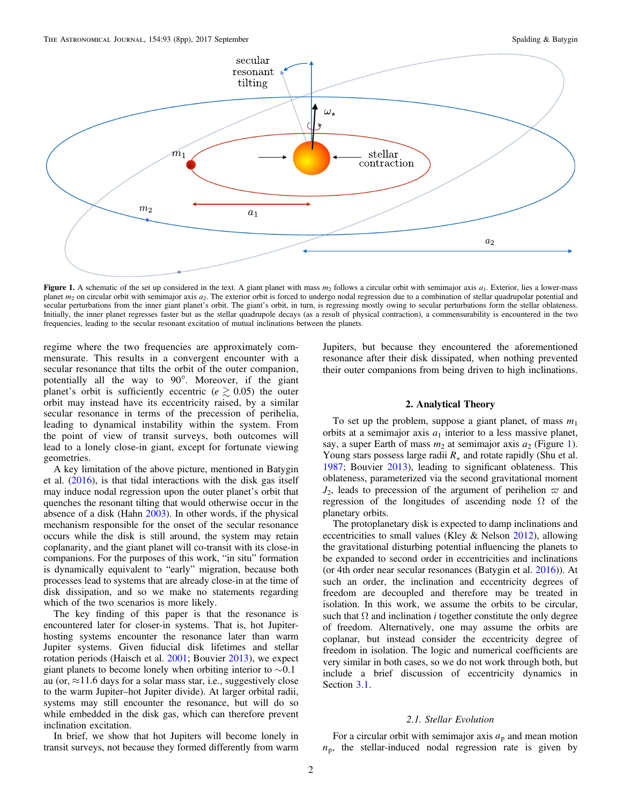<span id="page-1-0"></span>

Figure 1. A schematic of the set up considered in the text. A giant planet with mass  $m_2$  follows a circular orbit with semimajor axis  $a_1$ . Exterior, lies a lower-mass planet  $m_2$  on circular orbit with semimajor axis  $a_2$ . The exterior orbit is forced to undergo nodal regression due to a combination of stellar quadrupolar potential and secular perturbations from the inner giant planet's orbit. The giant's orbit, in turn, is regressing mostly owing to secular perturbations form the stellar oblateness. Initially, the inner planet regresses faster but as the stellar quadrupole decays (as a result of physical contraction), a commensurability is encountered in the two frequencies, leading to the secular resonant excitation of mutual inclinations between the planets.

regime where the two frequencies are approximately commensurate. This results in a convergent encounter with a secular resonance that tilts the orbit of the outer companion, potentially all the way to 90°. Moreover, if the giant planet's orbit is sufficiently eccentric ( $e \ge 0.05$ ) the outer orbit may instead have its eccentricity raised, by a similar secular resonance in terms of the precession of perihelia, leading to dynamical instability within the system. From the point of view of transit surveys, both outcomes will lead to a lonely close-in giant, except for fortunate viewing geometries.

A key limitation of the above picture, mentioned in Batygin et al. ([2016](#page-7-0)), is that tidal interactions with the disk gas itself may induce nodal regression upon the outer planet's orbit that quenches the resonant tilting that would otherwise occur in the absence of a disk (Hahn [2003](#page-7-0)). In other words, if the physical mechanism responsible for the onset of the secular resonance occurs while the disk is still around, the system may retain coplanarity, and the giant planet will co-transit with its close-in companions. For the purposes of this work, "in situ" formation is dynamically equivalent to "early" migration, because both processes lead to systems that are already close-in at the time of disk dissipation, and so we make no statements regarding which of the two scenarios is more likely.

The key finding of this paper is that the resonance is encountered later for closer-in systems. That is, hot Jupiterhosting systems encounter the resonance later than warm Jupiter systems. Given fiducial disk lifetimes and stellar rotation periods (Haisch et al. [2001;](#page-7-0) Bouvier [2013](#page-7-0)), we expect giant planets to become lonely when orbiting interior to  $\sim 0.1$ au (or,  $\approx$ 11.6 days for a solar mass star, i.e., suggestively close to the warm Jupiter–hot Jupiter divide). At larger orbital radii, systems may still encounter the resonance, but will do so while embedded in the disk gas, which can therefore prevent inclination excitation.

In brief, we show that hot Jupiters will become lonely in transit surveys, not because they formed differently from warm Jupiters, but because they encountered the aforementioned resonance after their disk dissipated, when nothing prevented their outer companions from being driven to high inclinations.

#### 2. Analytical Theory

To set up the problem, suppose a giant planet, of mass  $m_1$ orbits at a semimajor axis  $a_1$  interior to a less massive planet, say, a super Earth of mass  $m_2$  at semimajor axis  $a_2$  (Figure 1). Young stars possess large radii  $R_{\star}$  and rotate rapidly (Shu et al. [1987;](#page-7-0) Bouvier [2013](#page-7-0)), leading to significant oblateness. This oblateness, parameterized via the second gravitational moment  $J_2$ , leads to precession of the argument of perihelion  $\varpi$  and regression of the longitudes of ascending node  $\Omega$  of the planetary orbits.

The protoplanetary disk is expected to damp inclinations and eccentricities to small values (Kley & Nelson [2012](#page-7-0)), allowing the gravitational disturbing potential influencing the planets to be expanded to second order in eccentricities and inclinations (or 4th order near secular resonances (Batygin et al. [2016](#page-7-0))). At such an order, the inclination and eccentricity degrees of freedom are decoupled and therefore may be treated in isolation. In this work, we assume the orbits to be circular, such that  $\Omega$  and inclination *i* together constitute the only degree of freedom. Alternatively, one may assume the orbits are coplanar, but instead consider the eccentricity degree of freedom in isolation. The logic and numerical coefficients are very similar in both cases, so we do not work through both, but include a brief discussion of eccentricity dynamics in Section [3.1](#page-5-0).

# 2.1. Stellar Evolution

For a circular orbit with semimajor axis  $a_p$  and mean motion  $n_p$ , the stellar-induced nodal regression rate is given by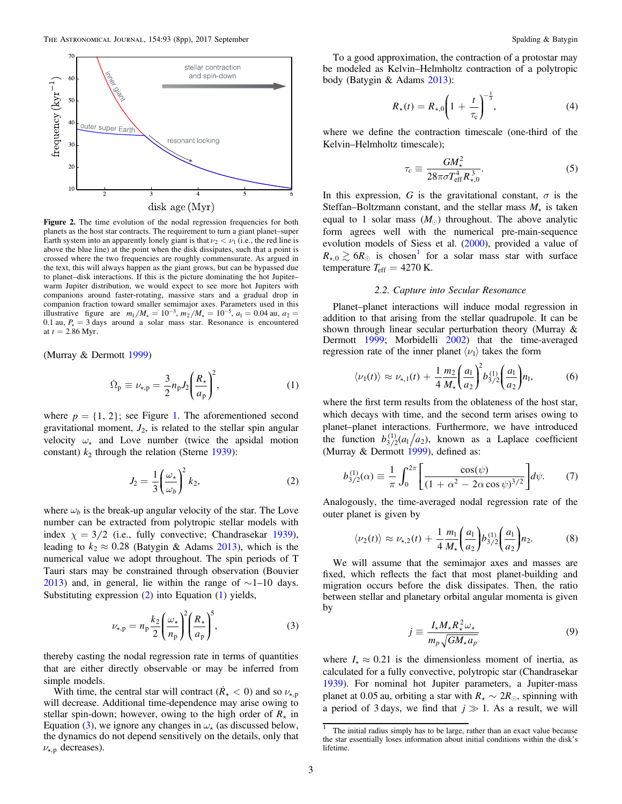<span id="page-2-0"></span>

Figure 2. The time evolution of the nodal regression frequencies for both planets as the host star contracts. The requirement to turn a giant planet–super Earth system into an apparently lonely giant is that  $\nu_2 < \nu_1$  (i.e., the red line is above the blue line) at the point when the disk dissipates, such that a point is crossed where the two frequencies are roughly commensurate. As argued in the text, this will always happen as the giant grows, but can be bypassed due to planet–disk interactions. If this is the picture dominating the hot Jupiter– warm Jupiter distribution, we would expect to see more hot Jupiters with companions around faster-rotating, massive stars and a gradual drop in companion fraction toward smaller semimajor axes. Parameters used in this illustrative figure are  $m_1/M_{\star} = 10^{-3}$ ,  $m_2/M_{\star} = 10^{-5}$ ,  $a_1 = 0.04$  au,  $a_2 =$ 0.1 au,  $P_{\star} = 3$  days around a solar mass star. Resonance is encountered at  $t = 2.86$  Myr.

(Murray & Dermott [1999](#page-7-0))

$$
\dot{\Omega}_{\mathbf{p}} \equiv \nu_{\mathbf{x},\mathbf{p}} = \frac{3}{2} n_{\mathbf{p}} J_2 \left(\frac{R_{\mathbf{x}}}{a_{\mathbf{p}}}\right)^2,\tag{1}
$$

where  $p = \{1, 2\}$ ; see Figure [1.](#page-1-0) The aforementioned second gravitational moment,  $J_2$ , is related to the stellar spin angular velocity  $\omega_{\star}$  and Love number (twice the apsidal motion constant)  $k_2$  through the relation (Sterne [1939](#page-7-0)):

$$
J_2 = \frac{1}{3} \left( \frac{\omega_\star}{\omega_b} \right)^2 k_2, \tag{2}
$$

where  $\omega_b$  is the break-up angular velocity of the star. The Love number can be extracted from polytropic stellar models with index  $\chi = 3/2$  (i.e., fully convective; Chandrasekar [1939](#page-7-0)), leading to  $k_2 \approx 0.28$  (Batygin & Adams [2013](#page-7-0)), which is the numerical value we adopt throughout. The spin periods of T Tauri stars may be constrained through observation (Bouvier [2013](#page-7-0)) and, in general, lie within the range of  $\sim$ 1–10 days. Substituting expression (2) into Equation (1) yields,

$$
\nu_{\star,p} = n_p \frac{k_2}{2} \left(\frac{\omega_\star}{n_p}\right)^2 \left(\frac{R_\star}{a_p}\right)^5,\tag{3}
$$

thereby casting the nodal regression rate in terms of quantities that are either directly observable or may be inferred from simple models.

With time, the central star will contract ( $\dot{R}_{\star}$  < 0) and so  $\nu_{\star,p}$ will decrease. Additional time-dependence may arise owing to stellar spin-down; however, owing to the high order of  $R_{\star}$  in Equation (3), we ignore any changes in  $\omega_{\star}$  (as discussed below, the dynamics do not depend sensitively on the details, only that  $\nu_{\star,p}$  decreases).

To a good approximation, the contraction of a protostar may be modeled as Kelvin–Helmholtz contraction of a polytropic body (Batygin & Adams [2013](#page-7-0)):

$$
R_{\star}(t) = R_{\star,0} \bigg( 1 + \frac{t}{\tau_{\rm c}} \bigg)^{-\frac{1}{3}},\tag{4}
$$

where we define the contraction timescale (one-third of the Kelvin–Helmholtz timescale);

$$
\tau_c \equiv \frac{GM_\star^2}{28\pi\sigma T_{\text{eff}}^4 R_{\star,0}^3}.\tag{5}
$$

In this expression, G is the gravitational constant,  $\sigma$  is the Steffan–Boltzmann constant, and the stellar mass  $M_{\star}$  is taken equal to 1 solar mass  $(M<sub>o</sub>)$  throughout. The above analytic form agrees well with the numerical pre-main-sequence evolution models of Siess et al. ([2000](#page-7-0)), provided a value of  $R_{\star,0} \gtrsim 6R_{\odot}$  is chosen<sup>1</sup> for a solar mass star with surface temperature  $T_{\text{eff}} = 4270 \text{ K}.$ 

# 2.2. Capture into Secular Resonance

Planet–planet interactions will induce modal regression in addition to that arising from the stellar quadrupole. It can be shown through linear secular perturbation theory (Murray & Dermott [1999;](#page-7-0) Morbidelli [2002](#page-7-0)) that the time-averaged regression rate of the inner planet  $\langle \nu_1 \rangle$  takes the form

$$
\langle \nu_1(t) \rangle \approx \nu_{\star,1}(t) + \frac{1}{4} \frac{m_2}{M_{\star}} \left( \frac{a_1}{a_2} \right)^2 b_{3/2}^{(1)} \left( \frac{a_1}{a_2} \right) n_1,
$$
 (6)

where the first term results from the oblateness of the host star, which decays with time, and the second term arises owing to planet–planet interactions. Furthermore, we have introduced the function  $b_{3/2}^{(1)}(a_1/a_2)$ , known as a Laplace coefficient (Murray & Dermott [1999](#page-7-0)), defined as:

$$
b_{3/2}^{(1)}(\alpha) \equiv \frac{1}{\pi} \int_0^{2\pi} \left[ \frac{\cos(\psi)}{(1 + \alpha^2 - 2\alpha \cos \psi)^{3/2}} \right] d\psi. \tag{7}
$$

Analogously, the time-averaged nodal regression rate of the outer planet is given by

$$
\langle \nu_2(t) \rangle \approx \nu_{\star,2}(t) + \frac{1}{4} \frac{m_1}{M_{\star}} \left( \frac{a_1}{a_2} \right) b_{3/2}^{(1)} \left( \frac{a_1}{a_2} \right) n_2.
$$
 (8)

We will assume that the semimajor axes and masses are fixed, which reflects the fact that most planet-building and migration occurs before the disk dissipates. Then, the ratio between stellar and planetary orbital angular momenta is given by

$$
j \equiv \frac{I_{\star} M_{\star} R_{\star}^2 \omega_{\star}}{m_p \sqrt{GM_{\star} a_p}}
$$
(9)

where  $I_{\star} \approx 0.21$  is the dimensionless moment of inertia, as calculated for a fully convective, polytropic star (Chandrasekar [1939](#page-7-0)). For nominal hot Jupiter parameters, a Jupiter-mass planet at 0.05 au, orbiting a star with  $R_{\star} \sim 2R_{\odot}$ , spinning with a period of 3 days, we find that  $j \gg 1$ . As a result, we will

<sup>&</sup>lt;sup>1</sup> The initial radius simply has to be large, rather than an exact value because the star essentially loses information about initial conditions within the disk's lifetime.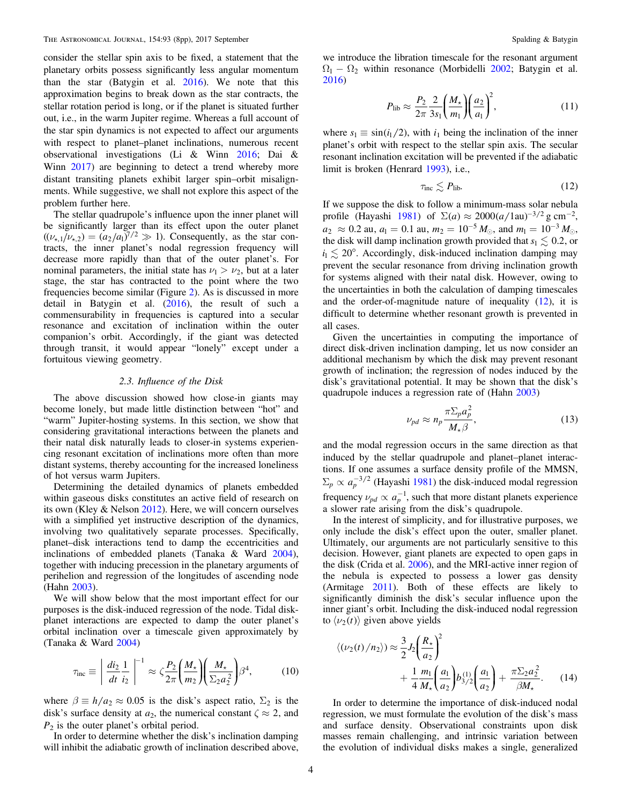consider the stellar spin axis to be fixed, a statement that the planetary orbits possess significantly less angular momentum than the star (Batygin et al. [2016](#page-7-0)). We note that this approximation begins to break down as the star contracts, the stellar rotation period is long, or if the planet is situated further out, i.e., in the warm Jupiter regime. Whereas a full account of the star spin dynamics is not expected to affect our arguments with respect to planet–planet inclinations, numerous recent observational investigations (Li & Winn [2016](#page-7-0); Dai & Winn  $2017$ ) are beginning to detect a trend whereby more distant transiting planets exhibit larger spin–orbit misalignments. While suggestive, we shall not explore this aspect of the problem further here.

The stellar quadrupole's influence upon the inner planet will be significantly larger than its effect upon the outer planet  $((\nu_{\star,1}/\nu_{\star,2}) = (a_2/a_1)^{7/2} \gg 1)$ . Consequently, as the star contracts, the inner planet's nodal regression frequency will decrease more rapidly than that of the outer planet's. For nominal parameters, the initial state has  $\nu_1 > \nu_2$ , but at a later stage, the star has contracted to the point where the two frequencies become similar (Figure [2](#page-2-0)). As is discussed in more detail in Batygin et al. ([2016](#page-7-0)), the result of such a commensurability in frequencies is captured into a secular resonance and excitation of inclination within the outer companion's orbit. Accordingly, if the giant was detected through transit, it would appear "lonely" except under a fortuitous viewing geometry.

# 2.3. Influence of the Disk

The above discussion showed how close-in giants may become lonely, but made little distinction between "hot" and "warm" Jupiter-hosting systems. In this section, we show that considering gravitational interactions between the planets and their natal disk naturally leads to closer-in systems experiencing resonant excitation of inclinations more often than more distant systems, thereby accounting for the increased loneliness of hot versus warm Jupiters.

Determining the detailed dynamics of planets embedded within gaseous disks constitutes an active field of research on its own (Kley & Nelson [2012](#page-7-0)). Here, we will concern ourselves with a simplified yet instructive description of the dynamics, involving two qualitatively separate processes. Specifically, planet–disk interactions tend to damp the eccentricities and inclinations of embedded planets (Tanaka & Ward [2004](#page-7-0)), together with inducing precession in the planetary arguments of perihelion and regression of the longitudes of ascending node (Hahn [2003](#page-7-0)).

We will show below that the most important effect for our purposes is the disk-induced regression of the node. Tidal diskplanet interactions are expected to damp the outer planet's orbital inclination over a timescale given approximately by (Tanaka & Ward [2004](#page-7-0))

$$
\tau_{\text{inc}} \equiv \left| \frac{di_2}{dt} \frac{1}{i_2} \right|^{-1} \approx \zeta \frac{P_2}{2\pi} \left( \frac{M_\star}{m_2} \right) \left( \frac{M_\star}{\Sigma_2 a_2^2} \right) \beta^4, \tag{10}
$$

where  $\beta \equiv h/a_2 \approx 0.05$  is the disk's aspect ratio,  $\Sigma_2$  is the disk's surface density at  $a_2$ , the numerical constant  $\zeta \approx 2$ , and  $P_2$  is the outer planet's orbital period.

In order to determine whether the disk's inclination damping will inhibit the adiabatic growth of inclination described above,

we introduce the libration timescale for the resonant argument  $\Omega_1 - \Omega_2$  within resonance (Morbidelli [2002](#page-7-0); Batygin et al. [2016](#page-7-0))

$$
P_{\text{lib}} \approx \frac{P_2}{2\pi} \frac{2}{3s_1} \left(\frac{M_\star}{m_1}\right) \left(\frac{a_2}{a_1}\right)^2,\tag{11}
$$

where  $s_1 \equiv \sin(i_1/2)$ , with  $i_1$  being the inclination of the inner planet's orbit with respect to the stellar spin axis. The secular resonant inclination excitation will be prevented if the adiabatic limit is broken (Henrard [1993](#page-7-0)), i.e.,

$$
\tau_{\text{inc}} \lesssim P_{\text{lib}}.\tag{12}
$$

If we suppose the disk to follow a minimum-mass solar nebula profile (Hayashi [1981](#page-7-0)) of  $\Sigma(a) \approx 2000 (a/1au)^{-3/2}$  g cm<sup>-2</sup>,  $a_2 \approx 0.2$  au,  $a_1 = 0.1$  au,  $m_2 = 10^{-5} M_{\odot}$ , and  $m_1 = 10^{-3} M_{\odot}$ , the disk will damp inclination growth provided that  $s_1 \lesssim 0.2$ , or  $i_1 \lesssim 20^\circ$ . Accordingly, disk-induced inclination damping may prevent the secular resonance from driving inclination growth for systems aligned with their natal disk. However, owing to the uncertainties in both the calculation of damping timescales and the order-of-magnitude nature of inequality (12), it is difficult to determine whether resonant growth is prevented in all cases.

Given the uncertainties in computing the importance of direct disk-driven inclination damping, let us now consider an additional mechanism by which the disk may prevent resonant growth of inclination; the regression of nodes induced by the disk's gravitational potential. It may be shown that the disk's quadrupole induces a regression rate of (Hahn [2003](#page-7-0))

$$
\nu_{pd} \approx n_p \frac{\pi \Sigma_p a_p^2}{M_\star \beta},\tag{13}
$$

and the modal regression occurs in the same direction as that induced by the stellar quadrupole and planet–planet interactions. If one assumes a surface density profile of the MMSN,  $\Sigma_p \propto a_p^{-3/2}$  (Hayashi [1981](#page-7-0)) the disk-induced modal regression frequency  $\nu_{pd} \propto a_p^{-1}$ , such that more distant planets experience a slower rate arising from the disk's quadrupole.

In the interest of simplicity, and for illustrative purposes, we only include the disk's effect upon the outer, smaller planet. Ultimately, our arguments are not particularly sensitive to this decision. However, giant planets are expected to open gaps in the disk (Crida et al. [2006](#page-7-0)), and the MRI-active inner region of the nebula is expected to possess a lower gas density (Armitage [2011](#page-7-0)). Both of these effects are likely to significantly diminish the disk's secular influence upon the inner giant's orbit. Including the disk-induced nodal regression to  $\langle \nu_2(t) \rangle$  given above yields

$$
\langle (\nu_2(t)/n_2) \rangle \approx \frac{3}{2} J_2 \left( \frac{R_\star}{a_2} \right)^2 + \frac{1}{4} \frac{m_1}{M_\star} \left( \frac{a_1}{a_2} \right) b_{3/2}^{(1)} \left( \frac{a_1}{a_2} \right) + \frac{\pi \Sigma_2 a_2^2}{\beta M_\star}.
$$
 (14)

In order to determine the importance of disk-induced nodal regression, we must formulate the evolution of the disk's mass and surface density. Observational constraints upon disk masses remain challenging, and intrinsic variation between the evolution of individual disks makes a single, generalized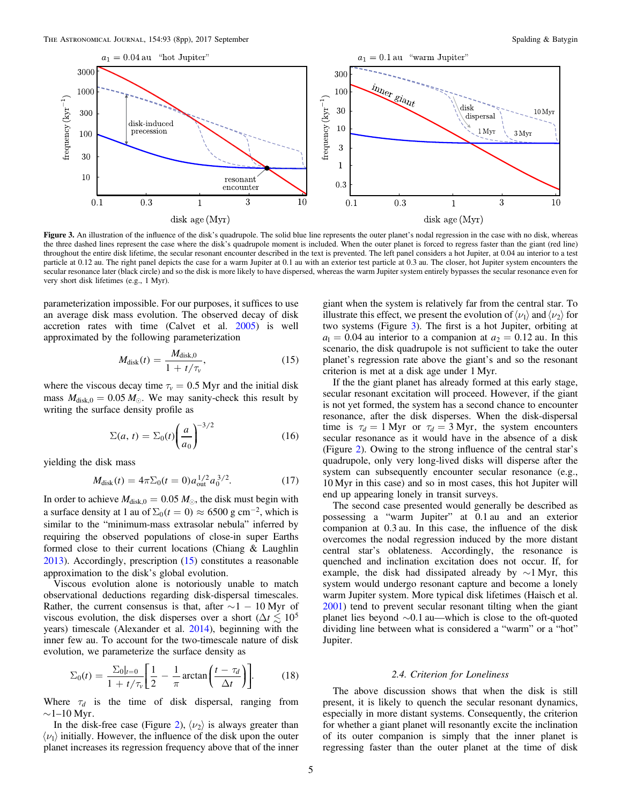

Figure 3. An illustration of the influence of the disk's quadrupole. The solid blue line represents the outer planet's nodal regression in the case with no disk, whereas the three dashed lines represent the case where the disk's quadrupole moment is included. When the outer planet is forced to regress faster than the giant (red line) throughout the entire disk lifetime, the secular resonant encounter described in the text is prevented. The left panel considers a hot Jupiter, at 0.04 au interior to a test particle at 0.12 au. The right panel depicts the case for a warm Jupiter at 0.1 au with an exterior test particle at 0.3 au. The closer, hot Jupiter system encounters the secular resonance later (black circle) and so the disk is more likely to have dispersed, whereas the warm Jupiter system entirely bypasses the secular resonance even for very short disk lifetimes (e.g., 1 Myr).

parameterization impossible. For our purposes, it suffices to use an average disk mass evolution. The observed decay of disk accretion rates with time (Calvet et al. [2005](#page-7-0)) is well approximated by the following parameterization

$$
M_{\rm disk}(t) = \frac{M_{\rm disk,0}}{1 + t/\tau_v},
$$
\n(15)

where the viscous decay time  $\tau$ <sup>*v*</sup> = 0.5 Myr and the initial disk mass  $M_{disk,0} = 0.05 M_{\odot}$ . We may sanity-check this result by writing the surface density profile as

$$
\Sigma(a,t) = \Sigma_0(t) \left(\frac{a}{a_0}\right)^{-3/2} \tag{16}
$$

yielding the disk mass

$$
M_{\text{disk}}(t) = 4\pi \Sigma_0 (t = 0) a_{\text{out}}^{1/2} a_0^{3/2}.
$$
 (17)

In order to achieve  $M_{disk,0} = 0.05 M_{\odot}$ , the disk must begin with a surface density at 1 au of  $\Sigma_0(t=0) \approx 6500 \text{ g cm}^{-2}$ , which is similar to the "minimum-mass extrasolar nebula" inferred by requiring the observed populations of close-in super Earths formed close to their current locations (Chiang & Laughlin [2013](#page-7-0)). Accordingly, prescription (15) constitutes a reasonable approximation to the disk's global evolution.

Viscous evolution alone is notoriously unable to match observational deductions regarding disk-dispersal timescales. Rather, the current consensus is that, after  $\sim$ 1 – 10 Myr of viscous evolution, the disk disperses over a short  $(\Delta t \leq 10^5$ years) timescale (Alexander et al. [2014](#page-7-0)), beginning with the inner few au. To account for the two-timescale nature of disk evolution, we parameterize the surface density as

$$
\Sigma_0(t) = \frac{\Sigma_0|_{t=0}}{1 + t/\tau_v} \left[ \frac{1}{2} - \frac{1}{\pi} \arctan\left(\frac{t - \tau_d}{\Delta t}\right) \right].
$$
 (18)

Where  $\tau_d$  is the time of disk dispersal, ranging from  $\sim$ 1-10 Myr.

In the disk-free case (Figure [2](#page-2-0)),  $\langle \nu_2 \rangle$  is always greater than  $\langle \nu_1 \rangle$  initially. However, the influence of the disk upon the outer planet increases its regression frequency above that of the inner

giant when the system is relatively far from the central star. To illustrate this effect, we present the evolution of  $\langle \nu_1 \rangle$  and  $\langle \nu_2 \rangle$  for two systems (Figure 3). The first is a hot Jupiter, orbiting at  $a_1 = 0.04$  au interior to a companion at  $a_2 = 0.12$  au. In this scenario, the disk quadrupole is not sufficient to take the outer planet's regression rate above the giant's and so the resonant criterion is met at a disk age under 1 Myr.

If the the giant planet has already formed at this early stage, secular resonant excitation will proceed. However, if the giant is not yet formed, the system has a second chance to encounter resonance, after the disk disperses. When the disk-dispersal time is  $\tau_d = 1$  Myr or  $\tau_d = 3$  Myr, the system encounters secular resonance as it would have in the absence of a disk (Figure [2](#page-2-0)). Owing to the strong influence of the central star's quadrupole, only very long-lived disks will disperse after the system can subsequently encounter secular resonance (e.g., 10 Myr in this case) and so in most cases, this hot Jupiter will end up appearing lonely in transit surveys.

The second case presented would generally be described as possessing a "warm Jupiter" at 0.1 au and an exterior companion at 0.3 au. In this case, the influence of the disk overcomes the nodal regression induced by the more distant central star's oblateness. Accordingly, the resonance is quenched and inclination excitation does not occur. If, for example, the disk had dissipated already by  $\sim$ 1 Myr, this system would undergo resonant capture and become a lonely warm Jupiter system. More typical disk lifetimes (Haisch et al. [2001](#page-7-0)) tend to prevent secular resonant tilting when the giant planet lies beyond ∼0.1 au—which is close to the oft-quoted dividing line between what is considered a "warm" or a "hot" Jupiter.

### 2.4. Criterion for Loneliness

The above discussion shows that when the disk is still present, it is likely to quench the secular resonant dynamics, especially in more distant systems. Consequently, the criterion for whether a giant planet will resonantly excite the inclination of its outer companion is simply that the inner planet is regressing faster than the outer planet at the time of disk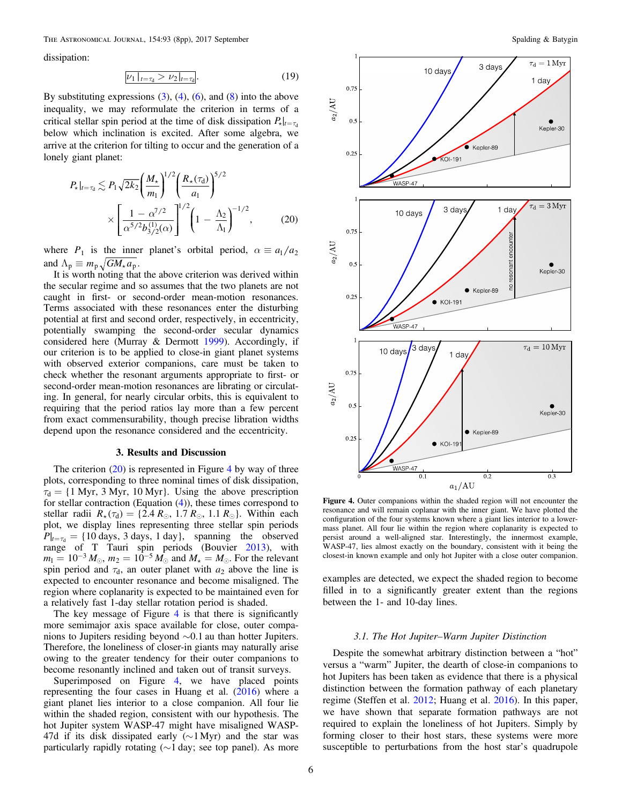<span id="page-5-0"></span>dissipation:

$$
\nu_1|_{t=\tau_{\rm d}} > \nu_2|_{t=\tau_{\rm d}}.\tag{19}
$$

By substituting expressions  $(3)$  $(3)$  $(3)$ ,  $(4)$  $(4)$  $(4)$ ,  $(6)$  $(6)$  $(6)$ , and  $(8)$  $(8)$  $(8)$  into the above inequality, we may reformulate the criterion in terms of a critical stellar spin period at the time of disk dissipation  $P_{\star}|_{t=\tau_d}$ below which inclination is excited. After some algebra, we arrive at the criterion for tilting to occur and the generation of a lonely giant planet:

$$
P_{\star}|_{t=\tau_{\rm d}} \lesssim P_1 \sqrt{2k_2} \left(\frac{M_{\star}}{m_1}\right)^{1/2} \left(\frac{R_{\star}(\tau_{\rm d})}{a_1}\right)^{5/2} \times \left[\frac{1-\alpha^{7/2}}{\alpha^{5/2}b_{3/2}^{(1)}(\alpha)}\right]^{1/2} \left(1-\frac{\Lambda_2}{\Lambda_1}\right)^{-1/2},\tag{20}
$$

where  $P_1$  is the inner planet's orbital period,  $\alpha \equiv a_1/a_2$ and  $\Lambda_{\rm p} \equiv m_{\rm p} \sqrt{GM_{\star}a_{\rm p}}$ .

It is worth noting that the above criterion was derived within the secular regime and so assumes that the two planets are not caught in first- or second-order mean-motion resonances. Terms associated with these resonances enter the disturbing potential at first and second order, respectively, in eccentricity, potentially swamping the second-order secular dynamics considered here (Murray & Dermott [1999](#page-7-0)). Accordingly, if our criterion is to be applied to close-in giant planet systems with observed exterior companions, care must be taken to check whether the resonant arguments appropriate to first- or second-order mean-motion resonances are librating or circulating. In general, for nearly circular orbits, this is equivalent to requiring that the period ratios lay more than a few percent from exact commensurability, though precise libration widths depend upon the resonance considered and the eccentricity.

## 3. Results and Discussion

The criterion  $(20)$  is represented in Figure 4 by way of three plots, corresponding to three nominal times of disk dissipation,  $\tau_d = \{1 \text{ Myr}, 3 \text{ Myr}, 10 \text{ Myr}\}\$ . Using the above prescription for stellar contraction (Equation  $(4)$  $(4)$  $(4)$ ), these times correspond to stellar radii  $R_{\star}(\tau_{d}) = \{2.4 \, R_{\odot}, 1.7 \, R_{\odot}, 1.1 \, R_{\odot}\}\.$  Within each plot, we display lines representing three stellar spin periods  $P|_{t=\tau_d} = \{10 \text{ days}, 3 \text{ days}, 1 \text{ day}\},$  spanning the observed range of T Tauri spin periods (Bouvier [2013](#page-7-0)), with  $m_1 = 10^{-3} M_{\odot}$ ,  $m_2 = 10^{-5} M_{\odot}$  and  $M_{\star} = M_{\odot}$ . For the relevant spin period and  $\tau_d$ , an outer planet with  $a_2$  above the line is expected to encounter resonance and become misaligned. The region where coplanarity is expected to be maintained even for a relatively fast 1-day stellar rotation period is shaded.

The key message of Figure 4 is that there is significantly more semimajor axis space available for close, outer companions to Jupiters residing beyond ∼0.1 au than hotter Jupiters. Therefore, the loneliness of closer-in giants may naturally arise owing to the greater tendency for their outer companions to become resonantly inclined and taken out of transit surveys.

Superimposed on Figure 4, we have placed points representing the four cases in Huang et al. ([2016](#page-7-0)) where a giant planet lies interior to a close companion. All four lie within the shaded region, consistent with our hypothesis. The hot Jupiter system WASP-47 might have misaligned WASP-47d if its disk dissipated early  $(\sim 1 \text{ Myr})$  and the star was particularly rapidly rotating (∼1 day; see top panel). As more



Figure 4. Outer companions within the shaded region will not encounter the resonance and will remain coplanar with the inner giant. We have plotted the configuration of the four systems known where a giant lies interior to a lowermass planet. All four lie within the region where coplanarity is expected to persist around a well-aligned star. Interestingly, the innermost example, WASP-47, lies almost exactly on the boundary, consistent with it being the closest-in known example and only hot Jupiter with a close outer companion.

examples are detected, we expect the shaded region to become filled in to a significantly greater extent than the regions between the 1- and 10-day lines.

### 3.1. The Hot Jupiter–Warm Jupiter Distinction

Despite the somewhat arbitrary distinction between a "hot" versus a "warm" Jupiter, the dearth of close-in companions to hot Jupiters has been taken as evidence that there is a physical distinction between the formation pathway of each planetary regime (Steffen et al. [2012;](#page-7-0) Huang et al. [2016](#page-7-0)). In this paper, we have shown that separate formation pathways are not required to explain the loneliness of hot Jupiters. Simply by forming closer to their host stars, these systems were more susceptible to perturbations from the host star's quadrupole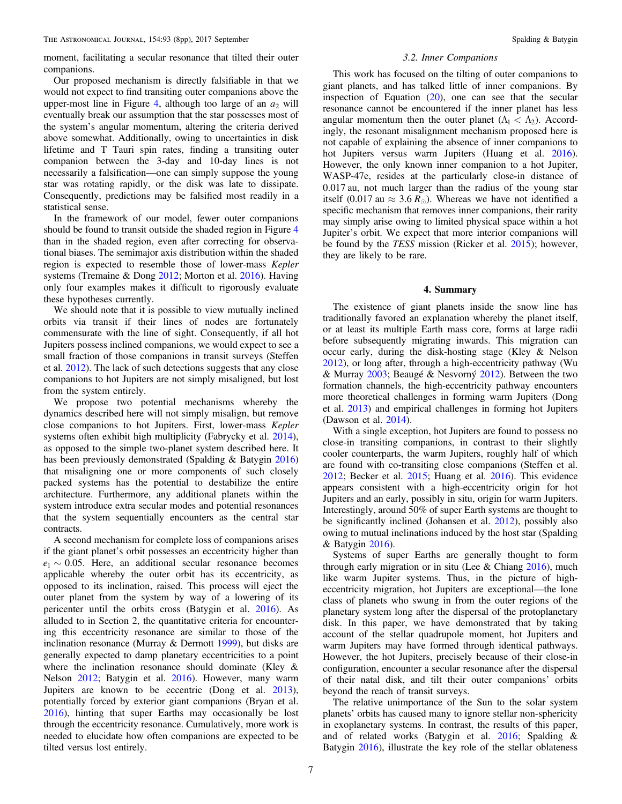moment, facilitating a secular resonance that tilted their outer companions.

Our proposed mechanism is directly falsifiable in that we would not expect to find transiting outer companions above the upper-most line in Figure [4](#page-5-0), although too large of an  $a_2$  will eventually break our assumption that the star possesses most of the system's angular momentum, altering the criteria derived above somewhat. Additionally, owing to uncertainties in disk lifetime and T Tauri spin rates, finding a transiting outer companion between the 3-day and 10-day lines is not necessarily a falsification—one can simply suppose the young star was rotating rapidly, or the disk was late to dissipate. Consequently, predictions may be falsified most readily in a statistical sense.

In the framework of our model, fewer outer companions should be found to transit outside the shaded region in Figure [4](#page-5-0) than in the shaded region, even after correcting for observational biases. The semimajor axis distribution within the shaded region is expected to resemble those of lower-mass Kepler systems (Tremaine & Dong [2012](#page-7-0); Morton et al. [2016](#page-7-0)). Having only four examples makes it difficult to rigorously evaluate these hypotheses currently.

We should note that it is possible to view mutually inclined orbits via transit if their lines of nodes are fortunately commensurate with the line of sight. Consequently, if all hot Jupiters possess inclined companions, we would expect to see a small fraction of those companions in transit surveys (Steffen et al. [2012](#page-7-0)). The lack of such detections suggests that any close companions to hot Jupiters are not simply misaligned, but lost from the system entirely.

We propose two potential mechanisms whereby the dynamics described here will not simply misalign, but remove close companions to hot Jupiters. First, lower-mass Kepler systems often exhibit high multiplicity (Fabrycky et al. [2014](#page-7-0)), as opposed to the simple two-planet system described here. It has been previously demonstrated (Spalding & Batygin [2016](#page-7-0)) that misaligning one or more components of such closely packed systems has the potential to destabilize the entire architecture. Furthermore, any additional planets within the system introduce extra secular modes and potential resonances that the system sequentially encounters as the central star contracts.

A second mechanism for complete loss of companions arises if the giant planet's orbit possesses an eccentricity higher than  $e_1 \sim 0.05$ . Here, an additional secular resonance becomes applicable whereby the outer orbit has its eccentricity, as opposed to its inclination, raised. This process will eject the outer planet from the system by way of a lowering of its pericenter until the orbits cross (Batygin et al. [2016](#page-7-0)). As alluded to in Section 2, the quantitative criteria for encountering this eccentricity resonance are similar to those of the inclination resonance (Murray & Dermott [1999](#page-7-0)), but disks are generally expected to damp planetary eccentricities to a point where the inclination resonance should dominate (Kley & Nelson [2012](#page-7-0); Batygin et al. [2016](#page-7-0)). However, many warm Jupiters are known to be eccentric (Dong et al. [2013](#page-7-0)), potentially forced by exterior giant companions (Bryan et al. [2016](#page-7-0)), hinting that super Earths may occasionally be lost through the eccentricity resonance. Cumulatively, more work is needed to elucidate how often companions are expected to be tilted versus lost entirely.

#### 3.2. Inner Companions

This work has focused on the tilting of outer companions to giant planets, and has talked little of inner companions. By inspection of Equation  $(20)$  $(20)$  $(20)$ , one can see that the secular resonance cannot be encountered if the inner planet has less angular momentum then the outer planet  $(\Lambda_1 < \Lambda_2)$ . Accordingly, the resonant misalignment mechanism proposed here is not capable of explaining the absence of inner companions to hot Jupiters versus warm Jupiters (Huang et al. [2016](#page-7-0)). However, the only known inner companion to a hot Jupiter, WASP-47e, resides at the particularly close-in distance of 0.017 au, not much larger than the radius of the young star itself (0.017 au  $\approx$  3.6  $R_{\odot}$ ). Whereas we have not identified a specific mechanism that removes inner companions, their rarity may simply arise owing to limited physical space within a hot Jupiter's orbit. We expect that more interior companions will be found by the TESS mission (Ricker et al. [2015](#page-7-0)); however, they are likely to be rare.

# 4. Summary

The existence of giant planets inside the snow line has traditionally favored an explanation whereby the planet itself, or at least its multiple Earth mass core, forms at large radii before subsequently migrating inwards. This migration can occur early, during the disk-hosting stage (Kley & Nelson [2012](#page-7-0)), or long after, through a high-eccentricity pathway (Wu & Murray [2003](#page-7-0); Beaugé & Nesvorný [2012](#page-7-0)). Between the two formation channels, the high-eccentricity pathway encounters more theoretical challenges in forming warm Jupiters (Dong et al. [2013](#page-7-0)) and empirical challenges in forming hot Jupiters (Dawson et al. [2014](#page-7-0)).

With a single exception, hot Jupiters are found to possess no close-in transiting companions, in contrast to their slightly cooler counterparts, the warm Jupiters, roughly half of which are found with co-transiting close companions (Steffen et al. [2012;](#page-7-0) Becker et al. [2015;](#page-7-0) Huang et al. [2016](#page-7-0)). This evidence appears consistent with a high-eccentricity origin for hot Jupiters and an early, possibly in situ, origin for warm Jupiters. Interestingly, around 50% of super Earth systems are thought to be significantly inclined (Johansen et al. [2012](#page-7-0)), possibly also owing to mutual inclinations induced by the host star (Spalding & Batygin [2016](#page-7-0)).

Systems of super Earths are generally thought to form through early migration or in situ (Lee & Chiang [2016](#page-7-0)), much like warm Jupiter systems. Thus, in the picture of higheccentricity migration, hot Jupiters are exceptional—the lone class of planets who swung in from the outer regions of the planetary system long after the dispersal of the protoplanetary disk. In this paper, we have demonstrated that by taking account of the stellar quadrupole moment, hot Jupiters and warm Jupiters may have formed through identical pathways. However, the hot Jupiters, precisely because of their close-in configuration, encounter a secular resonance after the dispersal of their natal disk, and tilt their outer companions' orbits beyond the reach of transit surveys.

The relative unimportance of the Sun to the solar system planets' orbits has caused many to ignore stellar non-sphericity in exoplanetary systems. In contrast, the results of this paper, and of related works (Batygin et al. [2016;](#page-7-0) Spalding & Batygin [2016](#page-7-0)), illustrate the key role of the stellar oblateness